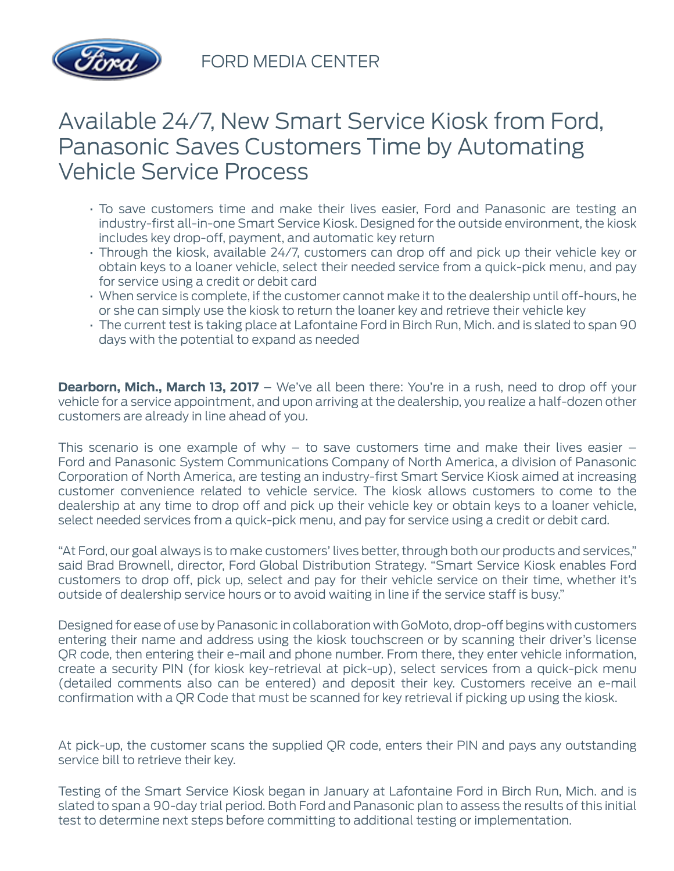

FORD MEDIA CENTER

## Available 24/7, New Smart Service Kiosk from Ford, Panasonic Saves Customers Time by Automating Vehicle Service Process

- To save customers time and make their lives easier, Ford and Panasonic are testing an industry-first all-in-one Smart Service Kiosk. Designed for the outside environment, the kiosk includes key drop-off, payment, and automatic key return
- Through the kiosk, available 24/7, customers can drop off and pick up their vehicle key or obtain keys to a loaner vehicle, select their needed service from a quick-pick menu, and pay for service using a credit or debit card
- When service is complete, if the customer cannot make it to the dealership until off-hours, he or she can simply use the kiosk to return the loaner key and retrieve their vehicle key
- The current test is taking place at Lafontaine Ford in Birch Run, Mich. and is slated to span 90 days with the potential to expand as needed

**Dearborn, Mich., March 13, 2017** – We've all been there: You're in a rush, need to drop off your vehicle for a service appointment, and upon arriving at the dealership, you realize a half-dozen other customers are already in line ahead of you.

This scenario is one example of why  $-$  to save customers time and make their lives easier  $-$ Ford and Panasonic System Communications Company of North America, a division of Panasonic Corporation of North America, are testing an industry-first Smart Service Kiosk aimed at increasing customer convenience related to vehicle service. The kiosk allows customers to come to the dealership at any time to drop off and pick up their vehicle key or obtain keys to a loaner vehicle, select needed services from a quick-pick menu, and pay for service using a credit or debit card.

"At Ford, our goal always is to make customers' lives better, through both our products and services," said Brad Brownell, director, Ford Global Distribution Strategy. "Smart Service Kiosk enables Ford customers to drop off, pick up, select and pay for their vehicle service on their time, whether it's outside of dealership service hours or to avoid waiting in line if the service staff is busy."

Designed for ease of use by Panasonic in collaboration with GoMoto, drop-off begins with customers entering their name and address using the kiosk touchscreen or by scanning their driver's license QR code, then entering their e-mail and phone number. From there, they enter vehicle information, create a security PIN (for kiosk key-retrieval at pick-up), select services from a quick-pick menu (detailed comments also can be entered) and deposit their key. Customers receive an e-mail confirmation with a QR Code that must be scanned for key retrieval if picking up using the kiosk.

At pick-up, the customer scans the supplied QR code, enters their PIN and pays any outstanding service bill to retrieve their key.

Testing of the Smart Service Kiosk began in January at Lafontaine Ford in Birch Run, Mich. and is slated to span a 90-day trial period. Both Ford and Panasonic plan to assess the results of this initial test to determine next steps before committing to additional testing or implementation.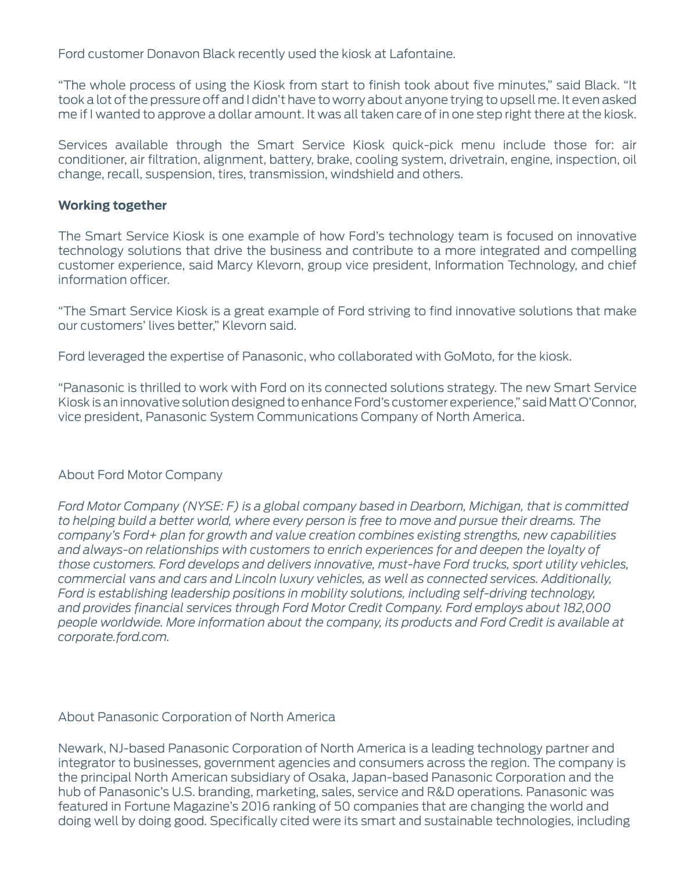Ford customer Donavon Black recently used the kiosk at Lafontaine.

"The whole process of using the Kiosk from start to finish took about five minutes," said Black. "It took a lot of the pressure off and I didn't have to worry about anyone trying to upsell me. It even asked me if I wanted to approve a dollar amount. It was all taken care of in one step right there at the kiosk.

Services available through the Smart Service Kiosk quick-pick menu include those for: air conditioner, air filtration, alignment, battery, brake, cooling system, drivetrain, engine, inspection, oil change, recall, suspension, tires, transmission, windshield and others.

## **Working together**

The Smart Service Kiosk is one example of how Ford's technology team is focused on innovative technology solutions that drive the business and contribute to a more integrated and compelling customer experience, said Marcy Klevorn, group vice president, Information Technology, and chief information officer.

"The Smart Service Kiosk is a great example of Ford striving to find innovative solutions that make our customers' lives better," Klevorn said.

Ford leveraged the expertise of Panasonic, who collaborated with GoMoto, for the kiosk.

"Panasonic is thrilled to work with Ford on its connected solutions strategy. The new Smart Service Kiosk is an innovative solution designed to enhance Ford's customer experience," said Matt O'Connor, vice president, Panasonic System Communications Company of North America.

## About Ford Motor Company

*Ford Motor Company (NYSE: F) is a global company based in Dearborn, Michigan, that is committed to helping build a better world, where every person is free to move and pursue their dreams. The company's Ford+ plan for growth and value creation combines existing strengths, new capabilities and always-on relationships with customers to enrich experiences for and deepen the loyalty of those customers. Ford develops and delivers innovative, must-have Ford trucks, sport utility vehicles, commercial vans and cars and Lincoln luxury vehicles, as well as connected services. Additionally, Ford is establishing leadership positions in mobility solutions, including self-driving technology, and provides financial services through Ford Motor Credit Company. Ford employs about 182,000 people worldwide. More information about the company, its products and Ford Credit is available at corporate.ford.com.*

## About Panasonic Corporation of North America

Newark, NJ-based Panasonic Corporation of North America is a leading technology partner and integrator to businesses, government agencies and consumers across the region. The company is the principal North American subsidiary of Osaka, Japan-based Panasonic Corporation and the hub of Panasonic's U.S. branding, marketing, sales, service and R&D operations. Panasonic was featured in Fortune Magazine's 2016 ranking of 50 companies that are changing the world and doing well by doing good. Specifically cited were its smart and sustainable technologies, including